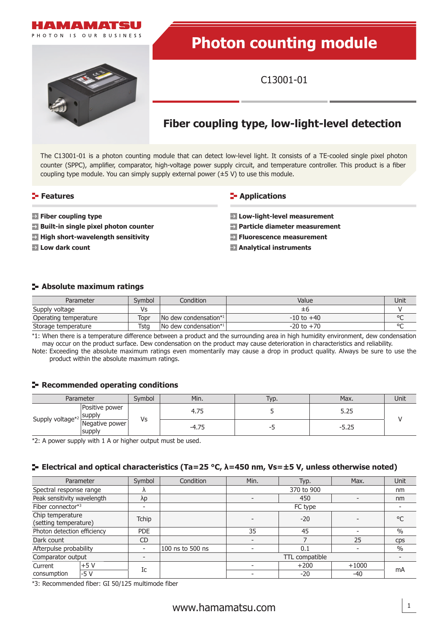

# **Photon counting module**

C13001-01

## **Fiber coupling type, low-light-level detection**

The C13001-01 is a photon counting module that can detect low-level light. It consists of a TE-cooled single pixel photon counter (SPPC), amplifier, comparator, high-voltage power supply circuit, and temperature controller. This product is a fiber coupling type module. You can simply supply external power  $(\pm 5 \text{ V})$  to use this module.

#### **Features**

**E-** Applications

- **Fiber coupling type**
- **Built-in single pixel photon counter**
- **High short-wavelength sensitivity**
- **Low dark count**

#### **Low-light-level measurement**

- **Particle diameter measurement**
- **Fluorescence measurement**
- **Analytical instruments**

#### **Absolute maximum ratings**

| Parameter             | Symbol | Condition                                 | Value          | Unit    |
|-----------------------|--------|-------------------------------------------|----------------|---------|
| Supply voltage        | Vs     |                                           | ±h             |         |
| Operating temperature | Topr   | $\sqrt{N}$ dew condensation <sup>*1</sup> | $-10$ to $+40$ | $\circ$ |
| Storage temperature   | Tsta   | $ No$ dew condensation*1                  | $-20$ to $+70$ | $\sim$  |

\*1: When there is a temperature difference between a product and the surrounding area in high humidity environment, dew condensation may occur on the product surface. Dew condensation on the product may cause deterioration in characteristics and reliability.

Note: Exceeding the absolute maximum ratings even momentarily may cause a drop in product quality. Always be sure to use the product within the absolute maximum ratings.

#### **Recommended operating conditions**

| Parameter                    |                                  | Symbol | Min.                               | Typ. | Max.        | Unit |
|------------------------------|----------------------------------|--------|------------------------------------|------|-------------|------|
| Supply voltage <sup>*2</sup> | Positive power<br><b>ISUDDIV</b> | Vs     | $\overline{\phantom{a}}$<br>7. / J |      | ں ے . ر     |      |
|                              | Negative power<br>supply         |        | $\overline{\phantom{a}}$<br>-4.75  | - 1  | -7<br>ن ے.د |      |

\*2: A power supply with 1 A or higher output must be used.

### **Electrical and optical characteristics (Ta=25 °C, λ=450 nm, Vs=±5 V, unless otherwise noted)**

| Parameter                                 |       | Symbol                   | Condition        | Min.           | Typ.   | Max.                     | Unit  |    |
|-------------------------------------------|-------|--------------------------|------------------|----------------|--------|--------------------------|-------|----|
| Spectral response range                   |       |                          |                  | 370 to 900     |        | nm                       |       |    |
| Peak sensitivity wavelength               |       | λp                       |                  | 450            |        |                          | nm    |    |
| Fiber connector*3                         |       |                          |                  | FC type        |        |                          |       |    |
| Chip temperature<br>(setting temperature) |       | <b>Tchip</b>             |                  |                | $-20$  |                          | °C    |    |
| Photon detection efficiency               |       | <b>PDE</b>               |                  | 35<br>45       |        |                          | $\%$  |    |
| Dark count                                |       | <b>CD</b>                |                  |                |        | 25                       | cps   |    |
| Afterpulse probability                    |       |                          | 100 ns to 500 ns |                | 0.1    |                          | $\%$  |    |
| Comparator output                         |       | $\overline{\phantom{0}}$ |                  | TTL compatible |        | $\overline{\phantom{a}}$ |       |    |
| Current                                   | $+5V$ | Ic                       |                  |                | $+200$ | $+1000$                  |       |    |
| consumption                               | $-5V$ |                          |                  |                |        | -20                      | $-40$ | mA |

\*3: Recommended fiber: GI 50/125 multimode fiber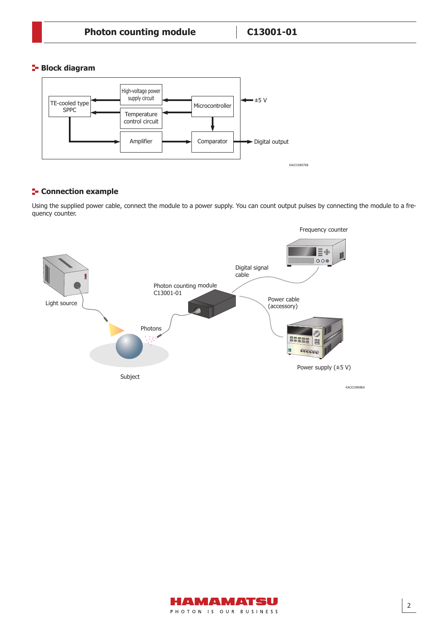#### **Block diagram**



#### **F** Connection example

Using the supplied power cable, connect the module to a power supply. You can count output pulses by connecting the module to a frequency counter.



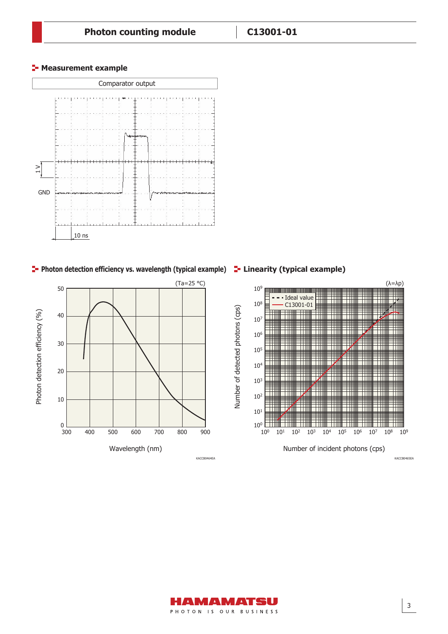#### **F** Measurement example



**Photon detection efficiency vs. wavelength (typical example) Linearity (typical example)**





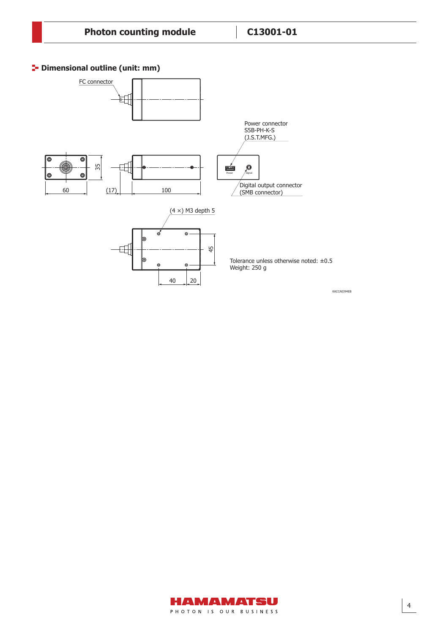### **<sup>1</sup>** Dimensional outline (unit: mm)



KACCA0394EB